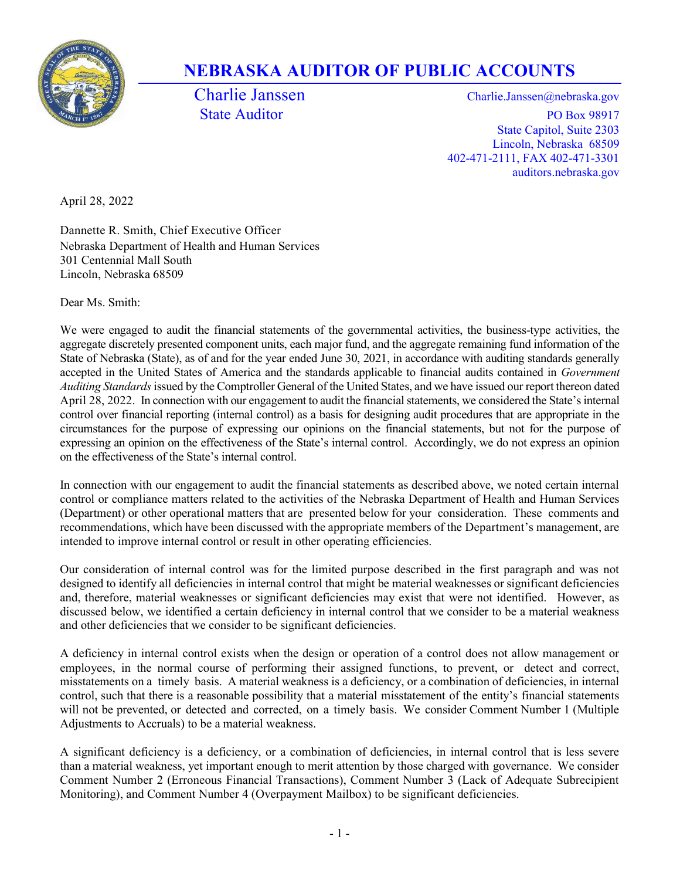

# NEBRASKA AUDITOR OF PUBLIC ACCOUNTS

Charlie Janssen Charlie.Janssen @nebraska.gov State Auditor PO Box 98917 State Capitol, Suite 2303 Lincoln, Nebraska 68509 402-471-2111, FAX 402-471-3301 auditors.nebraska.gov

April 28, 2022

Dannette R. Smith, Chief Executive Officer Nebraska Department of Health and Human Services 301 Centennial Mall South Lincoln, Nebraska 68509

Dear Ms. Smith:

We were engaged to audit the financial statements of the governmental activities, the business-type activities, the aggregate discretely presented component units, each major fund, and the aggregate remaining fund information of the State of Nebraska (State), as of and for the year ended June 30, 2021, in accordance with auditing standards generally accepted in the United States of America and the standards applicable to financial audits contained in Government Auditing Standards issued by the Comptroller General of the United States, and we have issued our report thereon dated April 28, 2022. In connection with our engagement to audit the financial statements, we considered the State's internal control over financial reporting (internal control) as a basis for designing audit procedures that are appropriate in the circumstances for the purpose of expressing our opinions on the financial statements, but not for the purpose of expressing an opinion on the effectiveness of the State's internal control. Accordingly, we do not express an opinion on the effectiveness of the State's internal control.

In connection with our engagement to audit the financial statements as described above, we noted certain internal control or compliance matters related to the activities of the Nebraska Department of Health and Human Services (Department) or other operational matters that are presented below for your consideration. These comments and recommendations, which have been discussed with the appropriate members of the Department's management, are intended to improve internal control or result in other operating efficiencies.

Our consideration of internal control was for the limited purpose described in the first paragraph and was not designed to identify all deficiencies in internal control that might be material weaknesses or significant deficiencies and, therefore, material weaknesses or significant deficiencies may exist that were not identified. However, as discussed below, we identified a certain deficiency in internal control that we consider to be a material weakness and other deficiencies that we consider to be significant deficiencies.

A deficiency in internal control exists when the design or operation of a control does not allow management or employees, in the normal course of performing their assigned functions, to prevent, or detect and correct, misstatements on a timely basis. A material weakness is a deficiency, or a combination of deficiencies, in internal control, such that there is a reasonable possibility that a material misstatement of the entity's financial statements will not be prevented, or detected and corrected, on a timely basis. We consider Comment Number 1 (Multiple Adjustments to Accruals) to be a material weakness.

A significant deficiency is a deficiency, or a combination of deficiencies, in internal control that is less severe than a material weakness, yet important enough to merit attention by those charged with governance. We consider Comment Number 2 (Erroneous Financial Transactions), Comment Number 3 (Lack of Adequate Subrecipient Monitoring), and Comment Number 4 (Overpayment Mailbox) to be significant deficiencies.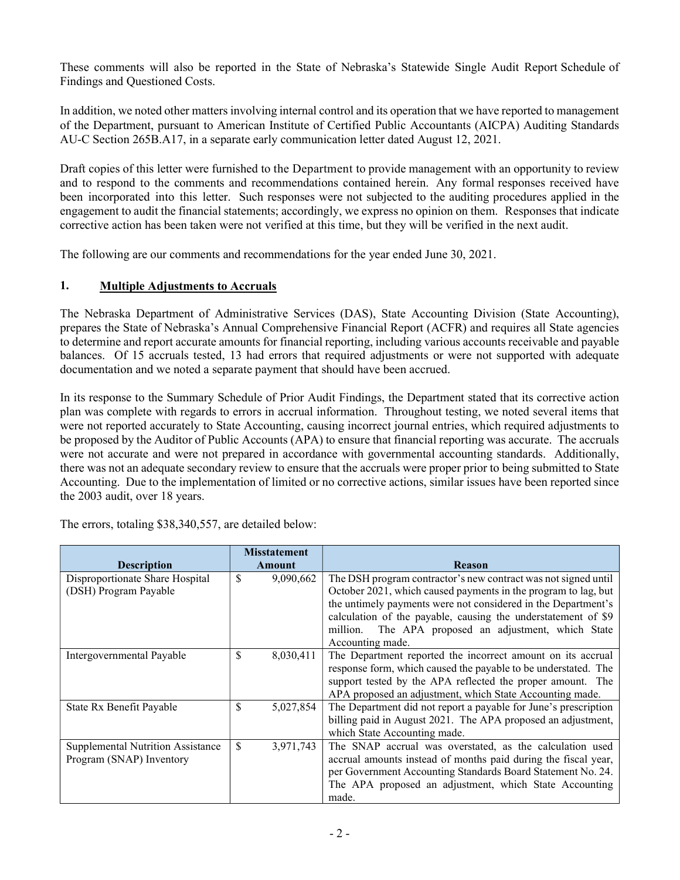These comments will also be reported in the State of Nebraska's Statewide Single Audit Report Schedule of Findings and Questioned Costs.

In addition, we noted other matters involving internal control and its operation that we have reported to management of the Department, pursuant to American Institute of Certified Public Accountants (AICPA) Auditing Standards AU-C Section 265B.A17, in a separate early communication letter dated August 12, 2021.

Draft copies of this letter were furnished to the Department to provide management with an opportunity to review and to respond to the comments and recommendations contained herein. Any formal responses received have been incorporated into this letter. Such responses were not subjected to the auditing procedures applied in the engagement to audit the financial statements; accordingly, we express no opinion on them. Responses that indicate corrective action has been taken were not verified at this time, but they will be verified in the next audit.

The following are our comments and recommendations for the year ended June 30, 2021.

## 1. Multiple Adjustments to Accruals

The Nebraska Department of Administrative Services (DAS), State Accounting Division (State Accounting), prepares the State of Nebraska's Annual Comprehensive Financial Report (ACFR) and requires all State agencies to determine and report accurate amounts for financial reporting, including various accounts receivable and payable balances. Of 15 accruals tested, 13 had errors that required adjustments or were not supported with adequate documentation and we noted a separate payment that should have been accrued.

In its response to the Summary Schedule of Prior Audit Findings, the Department stated that its corrective action plan was complete with regards to errors in accrual information. Throughout testing, we noted several items that were not reported accurately to State Accounting, causing incorrect journal entries, which required adjustments to be proposed by the Auditor of Public Accounts (APA) to ensure that financial reporting was accurate. The accruals were not accurate and were not prepared in accordance with governmental accounting standards. Additionally, there was not an adequate secondary review to ensure that the accruals were proper prior to being submitted to State Accounting. Due to the implementation of limited or no corrective actions, similar issues have been reported since the 2003 audit, over 18 years.

| <b>Description</b>                | <b>Misstatement</b><br>Amount | <b>Reason</b>                                                   |
|-----------------------------------|-------------------------------|-----------------------------------------------------------------|
| Disproportionate Share Hospital   | \$<br>9,090,662               | The DSH program contractor's new contract was not signed until  |
| (DSH) Program Payable             |                               | October 2021, which caused payments in the program to lag, but  |
|                                   |                               | the untimely payments were not considered in the Department's   |
|                                   |                               | calculation of the payable, causing the understatement of \$9   |
|                                   |                               | The APA proposed an adjustment, which State<br>million.         |
|                                   |                               | Accounting made.                                                |
| Intergovernmental Payable         | \$<br>8,030,411               | The Department reported the incorrect amount on its accrual     |
|                                   |                               | response form, which caused the payable to be understated. The  |
|                                   |                               | support tested by the APA reflected the proper amount. The      |
|                                   |                               | APA proposed an adjustment, which State Accounting made.        |
| State Rx Benefit Payable          | \$<br>5,027,854               | The Department did not report a payable for June's prescription |
|                                   |                               | billing paid in August 2021. The APA proposed an adjustment,    |
|                                   |                               | which State Accounting made.                                    |
| Supplemental Nutrition Assistance | \$<br>3,971,743               | The SNAP accrual was overstated, as the calculation used        |
| Program (SNAP) Inventory          |                               | accrual amounts instead of months paid during the fiscal year,  |
|                                   |                               | per Government Accounting Standards Board Statement No. 24.     |
|                                   |                               | The APA proposed an adjustment, which State Accounting          |
|                                   |                               | made.                                                           |

The errors, totaling \$38,340,557, are detailed below: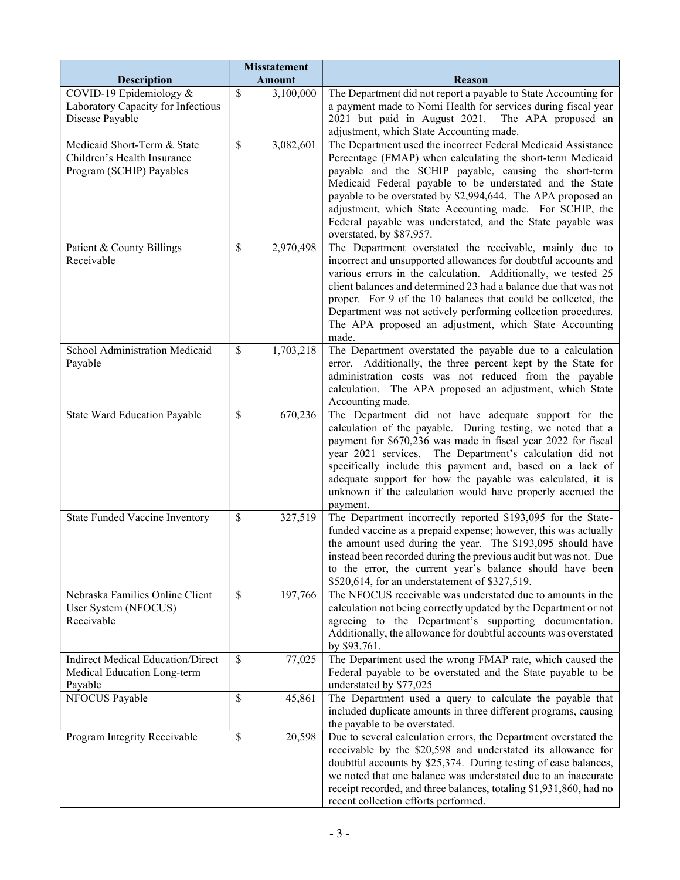| <b>Description</b>                                                                     | <b>Misstatement</b><br><b>Amount</b> |           | <b>Reason</b>                                                                                                                                                                                                                                                                                                                                                                                                                                                         |  |  |
|----------------------------------------------------------------------------------------|--------------------------------------|-----------|-----------------------------------------------------------------------------------------------------------------------------------------------------------------------------------------------------------------------------------------------------------------------------------------------------------------------------------------------------------------------------------------------------------------------------------------------------------------------|--|--|
| COVID-19 Epidemiology &                                                                | \$                                   | 3,100,000 | The Department did not report a payable to State Accounting for                                                                                                                                                                                                                                                                                                                                                                                                       |  |  |
| Laboratory Capacity for Infectious<br>Disease Payable                                  |                                      |           | a payment made to Nomi Health for services during fiscal year<br>2021 but paid in August 2021. The APA proposed an<br>adjustment, which State Accounting made.                                                                                                                                                                                                                                                                                                        |  |  |
| Medicaid Short-Term & State<br>Children's Health Insurance<br>Program (SCHIP) Payables | \$                                   | 3,082,601 | The Department used the incorrect Federal Medicaid Assistance<br>Percentage (FMAP) when calculating the short-term Medicaid<br>payable and the SCHIP payable, causing the short-term<br>Medicaid Federal payable to be understated and the State<br>payable to be overstated by \$2,994,644. The APA proposed an<br>adjustment, which State Accounting made. For SCHIP, the<br>Federal payable was understated, and the State payable was<br>overstated, by \$87,957. |  |  |
| Patient & County Billings<br>Receivable                                                | \$                                   | 2,970,498 | The Department overstated the receivable, mainly due to<br>incorrect and unsupported allowances for doubtful accounts and<br>various errors in the calculation. Additionally, we tested 25<br>client balances and determined 23 had a balance due that was not<br>proper. For 9 of the 10 balances that could be collected, the<br>Department was not actively performing collection procedures.<br>The APA proposed an adjustment, which State Accounting<br>made.   |  |  |
| School Administration Medicaid<br>Payable                                              | \$                                   | 1,703,218 | The Department overstated the payable due to a calculation<br>error. Additionally, the three percent kept by the State for<br>administration costs was not reduced from the payable<br>calculation. The APA proposed an adjustment, which State<br>Accounting made.                                                                                                                                                                                                   |  |  |
| State Ward Education Payable                                                           | \$                                   | 670,236   | The Department did not have adequate support for the<br>calculation of the payable. During testing, we noted that a<br>payment for \$670,236 was made in fiscal year 2022 for fiscal<br>year 2021 services. The Department's calculation did not<br>specifically include this payment and, based on a lack of<br>adequate support for how the payable was calculated, it is<br>unknown if the calculation would have properly accrued the<br>payment.                 |  |  |
| State Funded Vaccine Inventory                                                         | $\mathcal{S}$                        | 327,519   | The Department incorrectly reported \$193,095 for the State-<br>funded vaccine as a prepaid expense; however, this was actually<br>the amount used during the year. The \$193,095 should have<br>instead been recorded during the previous audit but was not. Due<br>to the error, the current year's balance should have been<br>\$520,614, for an understatement of \$327,519.                                                                                      |  |  |
| Nebraska Families Online Client<br>User System (NFOCUS)<br>Receivable                  | \$                                   | 197,766   | The NFOCUS receivable was understated due to amounts in the<br>calculation not being correctly updated by the Department or not<br>agreeing to the Department's supporting documentation.<br>Additionally, the allowance for doubtful accounts was overstated<br>by \$93,761.                                                                                                                                                                                         |  |  |
| <b>Indirect Medical Education/Direct</b><br>Medical Education Long-term<br>Payable     | $\mathbb{S}$                         | 77,025    | The Department used the wrong FMAP rate, which caused the<br>Federal payable to be overstated and the State payable to be<br>understated by \$77,025                                                                                                                                                                                                                                                                                                                  |  |  |
| NFOCUS Payable                                                                         | \$                                   | 45,861    | The Department used a query to calculate the payable that<br>included duplicate amounts in three different programs, causing<br>the payable to be overstated.                                                                                                                                                                                                                                                                                                         |  |  |
| Program Integrity Receivable                                                           | \$                                   | 20,598    | Due to several calculation errors, the Department overstated the<br>receivable by the \$20,598 and understated its allowance for<br>doubtful accounts by \$25,374. During testing of case balances,<br>we noted that one balance was understated due to an inaccurate<br>receipt recorded, and three balances, totaling \$1,931,860, had no<br>recent collection efforts performed.                                                                                   |  |  |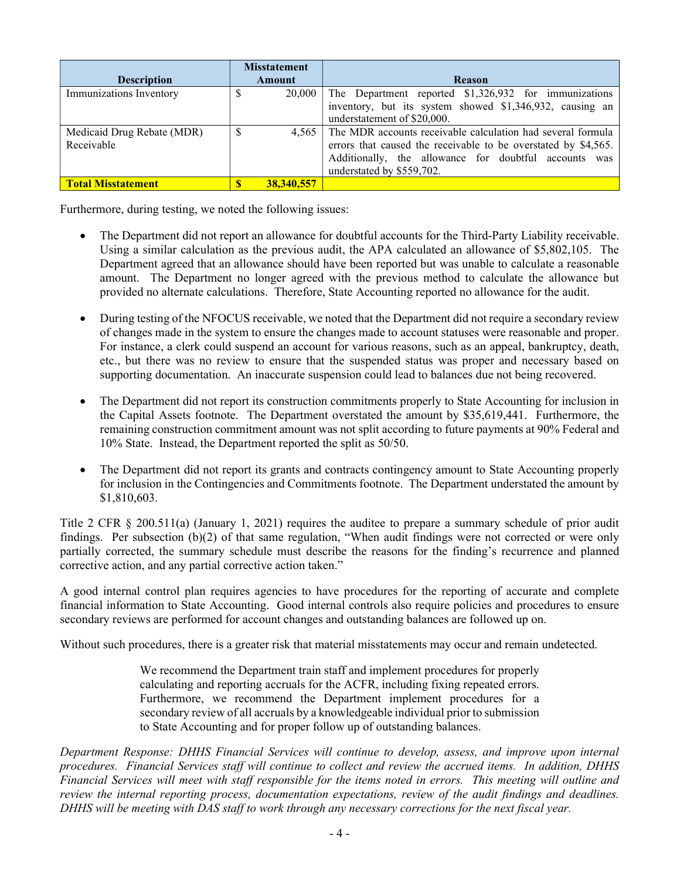|                            | <b>Misstatement</b> |            |                                                                |  |  |
|----------------------------|---------------------|------------|----------------------------------------------------------------|--|--|
| <b>Description</b>         | Amount              |            | <b>Reason</b>                                                  |  |  |
| Immunizations Inventory    |                     | 20,000     | The Department reported \$1,326,932 for immunizations          |  |  |
|                            |                     |            | inventory, but its system showed \$1,346,932, causing an       |  |  |
|                            |                     |            | understatement of \$20,000.                                    |  |  |
| Medicaid Drug Rebate (MDR) | S                   | 4.565      | The MDR accounts receivable calculation had several formula    |  |  |
| Receivable                 |                     |            | errors that caused the receivable to be overstated by \$4,565. |  |  |
|                            |                     |            | Additionally, the allowance for doubtful accounts was          |  |  |
|                            |                     |            | understated by \$559,702.                                      |  |  |
| <b>Total Misstatement</b>  |                     | 38,340,557 |                                                                |  |  |

Furthermore, during testing, we noted the following issues:

- The Department did not report an allowance for doubtful accounts for the Third-Party Liability receivable. Using a similar calculation as the previous audit, the APA calculated an allowance of \$5,802,105. The Department agreed that an allowance should have been reported but was unable to calculate a reasonable amount. The Department no longer agreed with the previous method to calculate the allowance but provided no alternate calculations. Therefore, State Accounting reported no allowance for the audit.
- During testing of the NFOCUS receivable, we noted that the Department did not require a secondary review of changes made in the system to ensure the changes made to account statuses were reasonable and proper. For instance, a clerk could suspend an account for various reasons, such as an appeal, bankruptcy, death, etc., but there was no review to ensure that the suspended status was proper and necessary based on supporting documentation. An inaccurate suspension could lead to balances due not being recovered.
- The Department did not report its construction commitments properly to State Accounting for inclusion in the Capital Assets footnote. The Department overstated the amount by \$35,619,441. Furthermore, the remaining construction commitment amount was not split according to future payments at 90% Federal and 10% State. Instead, the Department reported the split as 50/50.
- The Department did not report its grants and contracts contingency amount to State Accounting properly for inclusion in the Contingencies and Commitments footnote. The Department understated the amount by \$1,810,603.

Title 2 CFR § 200.511(a) (January 1, 2021) requires the auditee to prepare a summary schedule of prior audit findings. Per subsection (b)(2) of that same regulation, "When audit findings were not corrected or were only partially corrected, the summary schedule must describe the reasons for the finding's recurrence and planned corrective action, and any partial corrective action taken."

A good internal control plan requires agencies to have procedures for the reporting of accurate and complete financial information to State Accounting. Good internal controls also require policies and procedures to ensure secondary reviews are performed for account changes and outstanding balances are followed up on.

Without such procedures, there is a greater risk that material misstatements may occur and remain undetected.

We recommend the Department train staff and implement procedures for properly calculating and reporting accruals for the ACFR, including fixing repeated errors. Furthermore, we recommend the Department implement procedures for a secondary review of all accruals by a knowledgeable individual prior to submission to State Accounting and for proper follow up of outstanding balances.

Department Response: DHHS Financial Services will continue to develop, assess, and improve upon internal procedures. Financial Services staff will continue to collect and review the accrued items. In addition, DHHS Financial Services will meet with staff responsible for the items noted in errors. This meeting will outline and review the internal reporting process, documentation expectations, review of the audit findings and deadlines. DHHS will be meeting with DAS staff to work through any necessary corrections for the next fiscal year.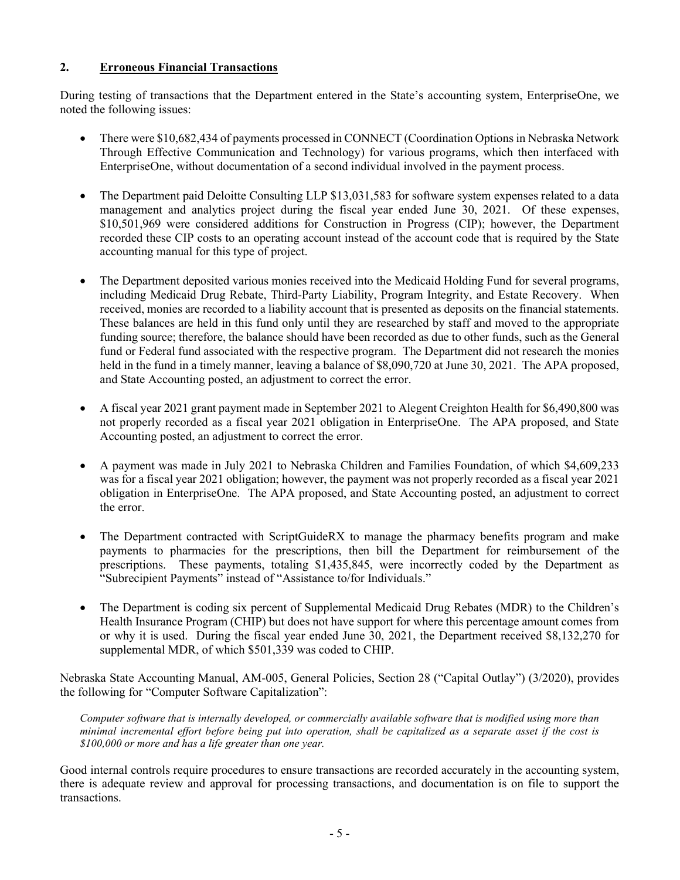## 2. Erroneous Financial Transactions

During testing of transactions that the Department entered in the State's accounting system, EnterpriseOne, we noted the following issues:

- There were \$10,682,434 of payments processed in CONNECT (Coordination Options in Nebraska Network Through Effective Communication and Technology) for various programs, which then interfaced with EnterpriseOne, without documentation of a second individual involved in the payment process.
- The Department paid Deloitte Consulting LLP \$13,031,583 for software system expenses related to a data management and analytics project during the fiscal year ended June 30, 2021. Of these expenses, \$10,501,969 were considered additions for Construction in Progress (CIP); however, the Department recorded these CIP costs to an operating account instead of the account code that is required by the State accounting manual for this type of project.
- The Department deposited various monies received into the Medicaid Holding Fund for several programs, including Medicaid Drug Rebate, Third-Party Liability, Program Integrity, and Estate Recovery. When received, monies are recorded to a liability account that is presented as deposits on the financial statements. These balances are held in this fund only until they are researched by staff and moved to the appropriate funding source; therefore, the balance should have been recorded as due to other funds, such as the General fund or Federal fund associated with the respective program. The Department did not research the monies held in the fund in a timely manner, leaving a balance of \$8,090,720 at June 30, 2021. The APA proposed, and State Accounting posted, an adjustment to correct the error.
- A fiscal year 2021 grant payment made in September 2021 to Alegent Creighton Health for \$6,490,800 was not properly recorded as a fiscal year 2021 obligation in EnterpriseOne. The APA proposed, and State Accounting posted, an adjustment to correct the error.
- A payment was made in July 2021 to Nebraska Children and Families Foundation, of which \$4,609,233 was for a fiscal year 2021 obligation; however, the payment was not properly recorded as a fiscal year 2021 obligation in EnterpriseOne. The APA proposed, and State Accounting posted, an adjustment to correct the error.
- The Department contracted with ScriptGuideRX to manage the pharmacy benefits program and make payments to pharmacies for the prescriptions, then bill the Department for reimbursement of the prescriptions. These payments, totaling \$1,435,845, were incorrectly coded by the Department as "Subrecipient Payments" instead of "Assistance to/for Individuals."
- The Department is coding six percent of Supplemental Medicaid Drug Rebates (MDR) to the Children's Health Insurance Program (CHIP) but does not have support for where this percentage amount comes from or why it is used. During the fiscal year ended June 30, 2021, the Department received \$8,132,270 for supplemental MDR, of which \$501,339 was coded to CHIP.

Nebraska State Accounting Manual, AM-005, General Policies, Section 28 ("Capital Outlay") (3/2020), provides the following for "Computer Software Capitalization":

Computer software that is internally developed, or commercially available software that is modified using more than minimal incremental effort before being put into operation, shall be capitalized as a separate asset if the cost is \$100,000 or more and has a life greater than one year.

Good internal controls require procedures to ensure transactions are recorded accurately in the accounting system, there is adequate review and approval for processing transactions, and documentation is on file to support the transactions.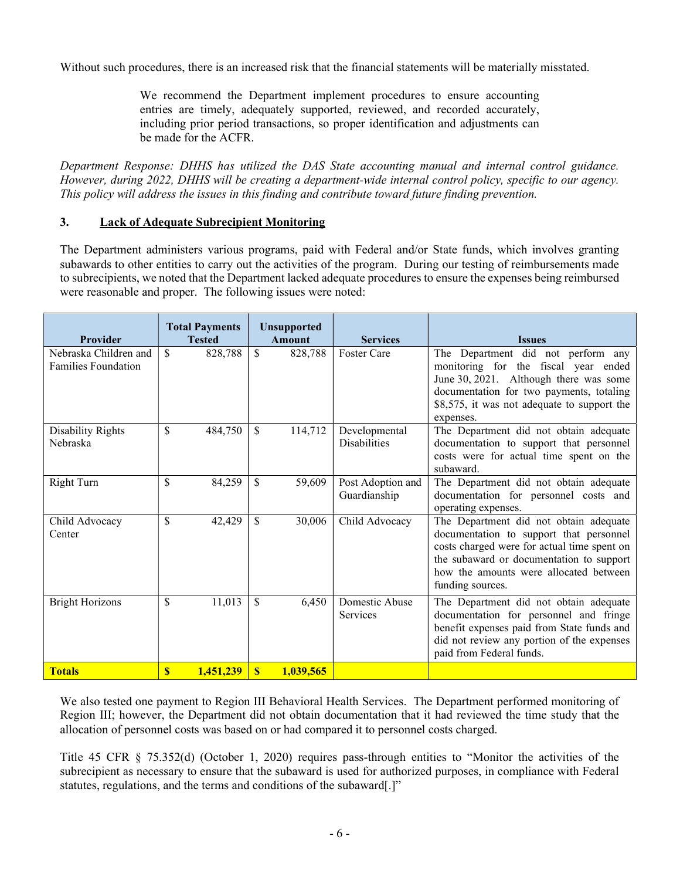Without such procedures, there is an increased risk that the financial statements will be materially misstated.

We recommend the Department implement procedures to ensure accounting entries are timely, adequately supported, reviewed, and recorded accurately, including prior period transactions, so proper identification and adjustments can be made for the ACFR.

Department Response: DHHS has utilized the DAS State accounting manual and internal control guidance. However, during 2022, DHHS will be creating a department-wide internal control policy, specific to our agency. This policy will address the issues in this finding and contribute toward future finding prevention.

#### 3. Lack of Adequate Subrecipient Monitoring

The Department administers various programs, paid with Federal and/or State funds, which involves granting subawards to other entities to carry out the activities of the program. During our testing of reimbursements made to subrecipients, we noted that the Department lacked adequate procedures to ensure the expenses being reimbursed were reasonable and proper. The following issues were noted:

| <b>Provider</b>                                     |               | <b>Total Payments</b><br><b>Tested</b> |              | <b>Unsupported</b><br><b>Amount</b> | <b>Services</b>                      | <b>Issues</b>                                                                                                                                                                                                                              |
|-----------------------------------------------------|---------------|----------------------------------------|--------------|-------------------------------------|--------------------------------------|--------------------------------------------------------------------------------------------------------------------------------------------------------------------------------------------------------------------------------------------|
| Nebraska Children and<br><b>Families Foundation</b> | <sup>\$</sup> | 828,788                                | \$           | 828,788                             | <b>Foster Care</b>                   | The Department did not perform any<br>monitoring for the fiscal year ended<br>June 30, 2021. Although there was some<br>documentation for two payments, totaling<br>\$8,575, it was not adequate to support the<br>expenses.               |
| Disability Rights<br>Nebraska                       | \$            | 484,750                                | S            | 114,712                             | Developmental<br><b>Disabilities</b> | The Department did not obtain adequate<br>documentation to support that personnel<br>costs were for actual time spent on the<br>subaward.                                                                                                  |
| <b>Right Turn</b>                                   | \$            | 84,259                                 | \$           | 59,609                              | Post Adoption and<br>Guardianship    | The Department did not obtain adequate<br>documentation for personnel costs and<br>operating expenses.                                                                                                                                     |
| Child Advocacy<br>Center                            | $\mathcal{S}$ | 42,429                                 | \$           | 30,006                              | Child Advocacy                       | The Department did not obtain adequate<br>documentation to support that personnel<br>costs charged were for actual time spent on<br>the subaward or documentation to support<br>how the amounts were allocated between<br>funding sources. |
| <b>Bright Horizons</b>                              | \$            | 11,013                                 | \$           | 6,450                               | Domestic Abuse<br>Services           | The Department did not obtain adequate<br>documentation for personnel and fringe<br>benefit expenses paid from State funds and<br>did not review any portion of the expenses<br>paid from Federal funds.                                   |
| <b>Totals</b>                                       | $\mathbf{s}$  | 1.451.239                              | $\mathbf{S}$ | 1,039,565                           |                                      |                                                                                                                                                                                                                                            |

We also tested one payment to Region III Behavioral Health Services. The Department performed monitoring of Region III; however, the Department did not obtain documentation that it had reviewed the time study that the allocation of personnel costs was based on or had compared it to personnel costs charged.

Title 45 CFR § 75.352(d) (October 1, 2020) requires pass-through entities to "Monitor the activities of the subrecipient as necessary to ensure that the subaward is used for authorized purposes, in compliance with Federal statutes, regulations, and the terms and conditions of the subaward[.]"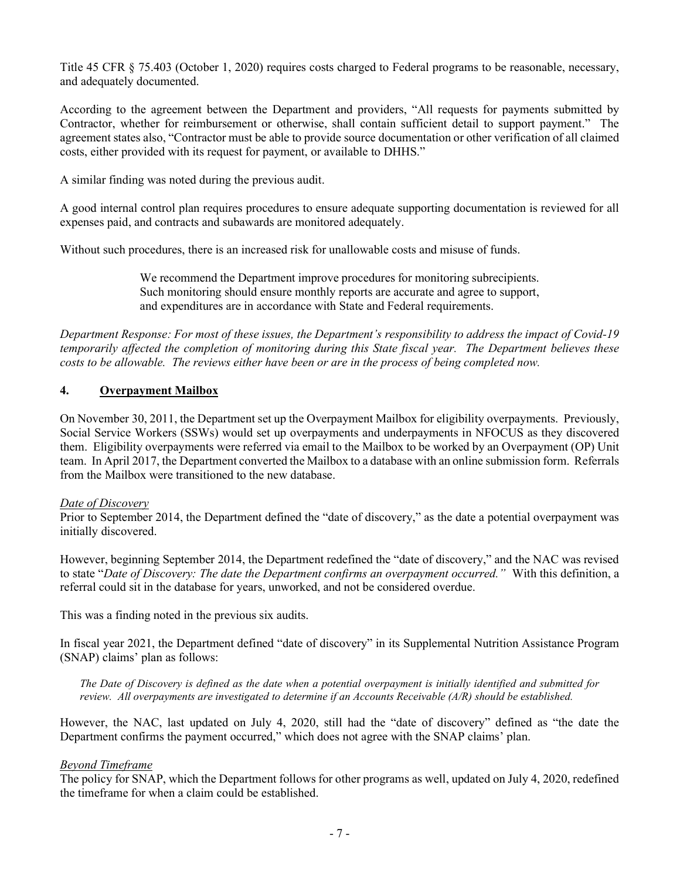Title 45 CFR § 75.403 (October 1, 2020) requires costs charged to Federal programs to be reasonable, necessary, and adequately documented.

According to the agreement between the Department and providers, "All requests for payments submitted by Contractor, whether for reimbursement or otherwise, shall contain sufficient detail to support payment." The agreement states also, "Contractor must be able to provide source documentation or other verification of all claimed costs, either provided with its request for payment, or available to DHHS."

A similar finding was noted during the previous audit.

A good internal control plan requires procedures to ensure adequate supporting documentation is reviewed for all expenses paid, and contracts and subawards are monitored adequately.

Without such procedures, there is an increased risk for unallowable costs and misuse of funds.

We recommend the Department improve procedures for monitoring subrecipients. Such monitoring should ensure monthly reports are accurate and agree to support, and expenditures are in accordance with State and Federal requirements.

Department Response: For most of these issues, the Department's responsibility to address the impact of Covid-19 temporarily affected the completion of monitoring during this State fiscal year. The Department believes these costs to be allowable. The reviews either have been or are in the process of being completed now.

## 4. Overpayment Mailbox

On November 30, 2011, the Department set up the Overpayment Mailbox for eligibility overpayments. Previously, Social Service Workers (SSWs) would set up overpayments and underpayments in NFOCUS as they discovered them. Eligibility overpayments were referred via email to the Mailbox to be worked by an Overpayment (OP) Unit team. In April 2017, the Department converted the Mailbox to a database with an online submission form. Referrals from the Mailbox were transitioned to the new database.

#### Date of Discovery

Prior to September 2014, the Department defined the "date of discovery," as the date a potential overpayment was initially discovered.

However, beginning September 2014, the Department redefined the "date of discovery," and the NAC was revised to state "Date of Discovery: The date the Department confirms an overpayment occurred." With this definition, a referral could sit in the database for years, unworked, and not be considered overdue.

This was a finding noted in the previous six audits.

In fiscal year 2021, the Department defined "date of discovery" in its Supplemental Nutrition Assistance Program (SNAP) claims' plan as follows:

The Date of Discovery is defined as the date when a potential overpayment is initially identified and submitted for review. All overpayments are investigated to determine if an Accounts Receivable (A/R) should be established.

However, the NAC, last updated on July 4, 2020, still had the "date of discovery" defined as "the date the Department confirms the payment occurred," which does not agree with the SNAP claims' plan.

#### Beyond Timeframe

The policy for SNAP, which the Department follows for other programs as well, updated on July 4, 2020, redefined the timeframe for when a claim could be established.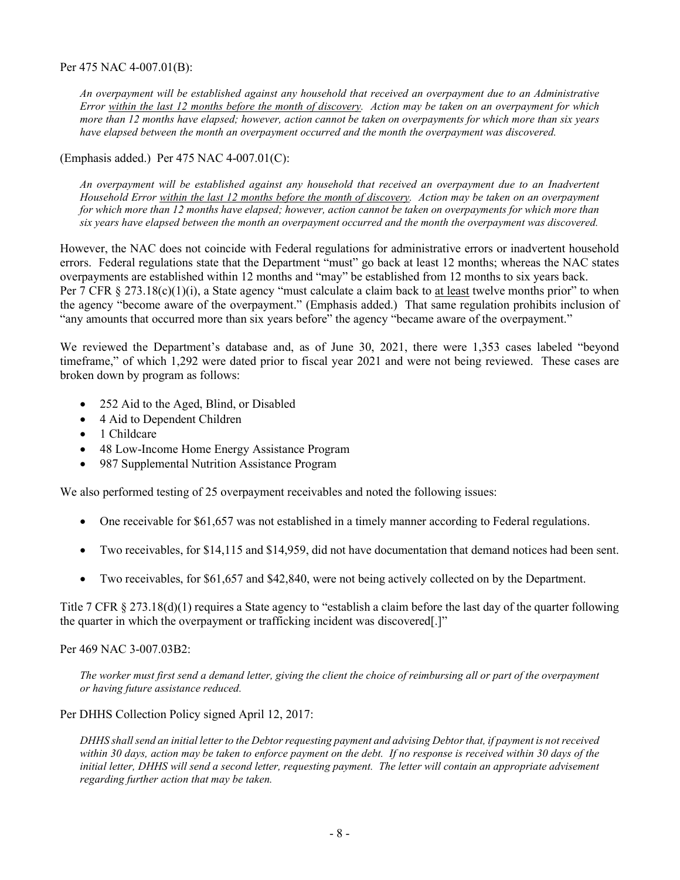Per 475 NAC 4-007.01(B):

An overpayment will be established against any household that received an overpayment due to an Administrative Error within the last 12 months before the month of discovery. Action may be taken on an overpayment for which more than 12 months have elapsed; however, action cannot be taken on overpayments for which more than six years have elapsed between the month an overpayment occurred and the month the overpayment was discovered.

### (Emphasis added.) Per 475 NAC 4-007.01(C):

An overpayment will be established against any household that received an overpayment due to an Inadvertent Household Error within the last 12 months before the month of discovery. Action may be taken on an overpayment for which more than 12 months have elapsed; however, action cannot be taken on overpayments for which more than six years have elapsed between the month an overpayment occurred and the month the overpayment was discovered.

However, the NAC does not coincide with Federal regulations for administrative errors or inadvertent household errors. Federal regulations state that the Department "must" go back at least 12 months; whereas the NAC states overpayments are established within 12 months and "may" be established from 12 months to six years back. Per 7 CFR  $\S 273.18(c)(1)(i)$ , a State agency "must calculate a claim back to at least twelve months prior" to when the agency "become aware of the overpayment." (Emphasis added.) That same regulation prohibits inclusion of "any amounts that occurred more than six years before" the agency "became aware of the overpayment."

We reviewed the Department's database and, as of June 30, 2021, there were 1,353 cases labeled "beyond timeframe," of which 1,292 were dated prior to fiscal year 2021 and were not being reviewed. These cases are broken down by program as follows:

- 252 Aid to the Aged, Blind, or Disabled
- 4 Aid to Dependent Children
- 1 Childcare
- 48 Low-Income Home Energy Assistance Program
- 987 Supplemental Nutrition Assistance Program

We also performed testing of 25 overpayment receivables and noted the following issues:

- One receivable for \$61,657 was not established in a timely manner according to Federal regulations.
- Two receivables, for \$14,115 and \$14,959, did not have documentation that demand notices had been sent.
- Two receivables, for \$61,657 and \$42,840, were not being actively collected on by the Department.

Title 7 CFR § 273.18(d)(1) requires a State agency to "establish a claim before the last day of the quarter following the quarter in which the overpayment or trafficking incident was discovered[.]"

#### Per 469 NAC 3-007.03B2:

The worker must first send a demand letter, giving the client the choice of reimbursing all or part of the overpayment or having future assistance reduced.

Per DHHS Collection Policy signed April 12, 2017:

DHHS shall send an initial letter to the Debtor requesting payment and advising Debtor that, if payment is not received within 30 days, action may be taken to enforce payment on the debt. If no response is received within 30 days of the initial letter, DHHS will send a second letter, requesting payment. The letter will contain an appropriate advisement regarding further action that may be taken.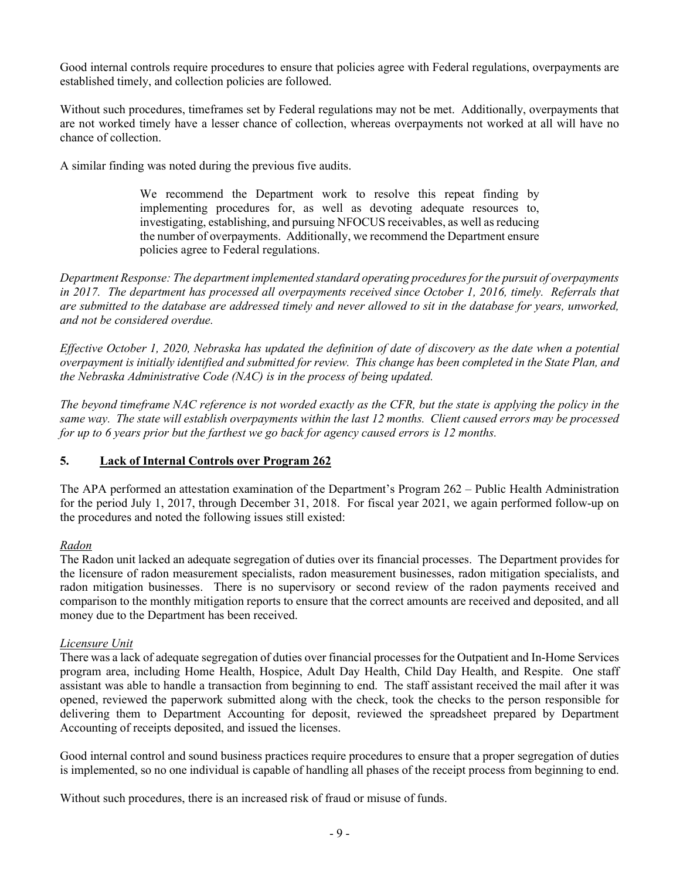Good internal controls require procedures to ensure that policies agree with Federal regulations, overpayments are established timely, and collection policies are followed.

Without such procedures, timeframes set by Federal regulations may not be met. Additionally, overpayments that are not worked timely have a lesser chance of collection, whereas overpayments not worked at all will have no chance of collection.

A similar finding was noted during the previous five audits.

We recommend the Department work to resolve this repeat finding by implementing procedures for, as well as devoting adequate resources to, investigating, establishing, and pursuing NFOCUS receivables, as well as reducing the number of overpayments. Additionally, we recommend the Department ensure policies agree to Federal regulations.

Department Response: The department implemented standard operating procedures for the pursuit of overpayments in 2017. The department has processed all overpayments received since October 1, 2016, timely. Referrals that are submitted to the database are addressed timely and never allowed to sit in the database for years, unworked, and not be considered overdue.

Effective October 1, 2020, Nebraska has updated the definition of date of discovery as the date when a potential overpayment is initially identified and submitted for review. This change has been completed in the State Plan, and the Nebraska Administrative Code (NAC) is in the process of being updated.

The beyond timeframe NAC reference is not worded exactly as the CFR, but the state is applying the policy in the same way. The state will establish overpayments within the last 12 months. Client caused errors may be processed for up to 6 years prior but the farthest we go back for agency caused errors is 12 months.

## 5. Lack of Internal Controls over Program 262

The APA performed an attestation examination of the Department's Program 262 – Public Health Administration for the period July 1, 2017, through December 31, 2018. For fiscal year 2021, we again performed follow-up on the procedures and noted the following issues still existed:

#### Radon

The Radon unit lacked an adequate segregation of duties over its financial processes. The Department provides for the licensure of radon measurement specialists, radon measurement businesses, radon mitigation specialists, and radon mitigation businesses. There is no supervisory or second review of the radon payments received and comparison to the monthly mitigation reports to ensure that the correct amounts are received and deposited, and all money due to the Department has been received.

#### Licensure Unit

There was a lack of adequate segregation of duties over financial processes for the Outpatient and In-Home Services program area, including Home Health, Hospice, Adult Day Health, Child Day Health, and Respite. One staff assistant was able to handle a transaction from beginning to end. The staff assistant received the mail after it was opened, reviewed the paperwork submitted along with the check, took the checks to the person responsible for delivering them to Department Accounting for deposit, reviewed the spreadsheet prepared by Department Accounting of receipts deposited, and issued the licenses.

Good internal control and sound business practices require procedures to ensure that a proper segregation of duties is implemented, so no one individual is capable of handling all phases of the receipt process from beginning to end.

Without such procedures, there is an increased risk of fraud or misuse of funds.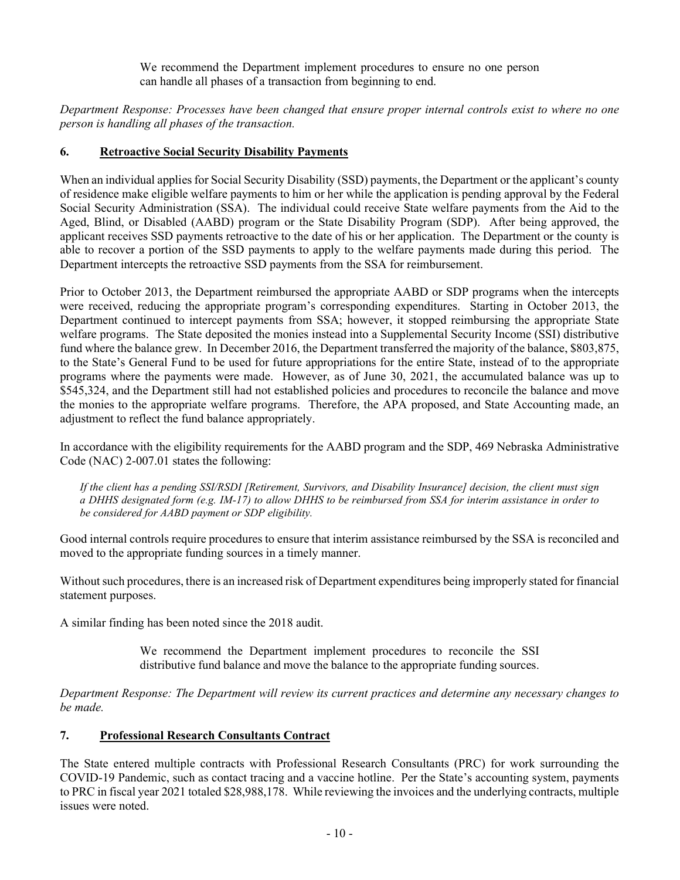We recommend the Department implement procedures to ensure no one person can handle all phases of a transaction from beginning to end.

Department Response: Processes have been changed that ensure proper internal controls exist to where no one person is handling all phases of the transaction.

## 6. Retroactive Social Security Disability Payments

When an individual applies for Social Security Disability (SSD) payments, the Department or the applicant's county of residence make eligible welfare payments to him or her while the application is pending approval by the Federal Social Security Administration (SSA). The individual could receive State welfare payments from the Aid to the Aged, Blind, or Disabled (AABD) program or the State Disability Program (SDP). After being approved, the applicant receives SSD payments retroactive to the date of his or her application. The Department or the county is able to recover a portion of the SSD payments to apply to the welfare payments made during this period. The Department intercepts the retroactive SSD payments from the SSA for reimbursement.

Prior to October 2013, the Department reimbursed the appropriate AABD or SDP programs when the intercepts were received, reducing the appropriate program's corresponding expenditures. Starting in October 2013, the Department continued to intercept payments from SSA; however, it stopped reimbursing the appropriate State welfare programs. The State deposited the monies instead into a Supplemental Security Income (SSI) distributive fund where the balance grew. In December 2016, the Department transferred the majority of the balance, \$803,875, to the State's General Fund to be used for future appropriations for the entire State, instead of to the appropriate programs where the payments were made. However, as of June 30, 2021, the accumulated balance was up to \$545,324, and the Department still had not established policies and procedures to reconcile the balance and move the monies to the appropriate welfare programs. Therefore, the APA proposed, and State Accounting made, an adjustment to reflect the fund balance appropriately.

In accordance with the eligibility requirements for the AABD program and the SDP, 469 Nebraska Administrative Code (NAC) 2-007.01 states the following:

If the client has a pending SSI/RSDI [Retirement, Survivors, and Disability Insurance] decision, the client must sign a DHHS designated form (e.g. IM-17) to allow DHHS to be reimbursed from SSA for interim assistance in order to be considered for AABD payment or SDP eligibility.

Good internal controls require procedures to ensure that interim assistance reimbursed by the SSA is reconciled and moved to the appropriate funding sources in a timely manner.

Without such procedures, there is an increased risk of Department expenditures being improperly stated for financial statement purposes.

A similar finding has been noted since the 2018 audit.

We recommend the Department implement procedures to reconcile the SSI distributive fund balance and move the balance to the appropriate funding sources.

Department Response: The Department will review its current practices and determine any necessary changes to be made.

## 7. Professional Research Consultants Contract

The State entered multiple contracts with Professional Research Consultants (PRC) for work surrounding the COVID-19 Pandemic, such as contact tracing and a vaccine hotline. Per the State's accounting system, payments to PRC in fiscal year 2021 totaled \$28,988,178. While reviewing the invoices and the underlying contracts, multiple issues were noted.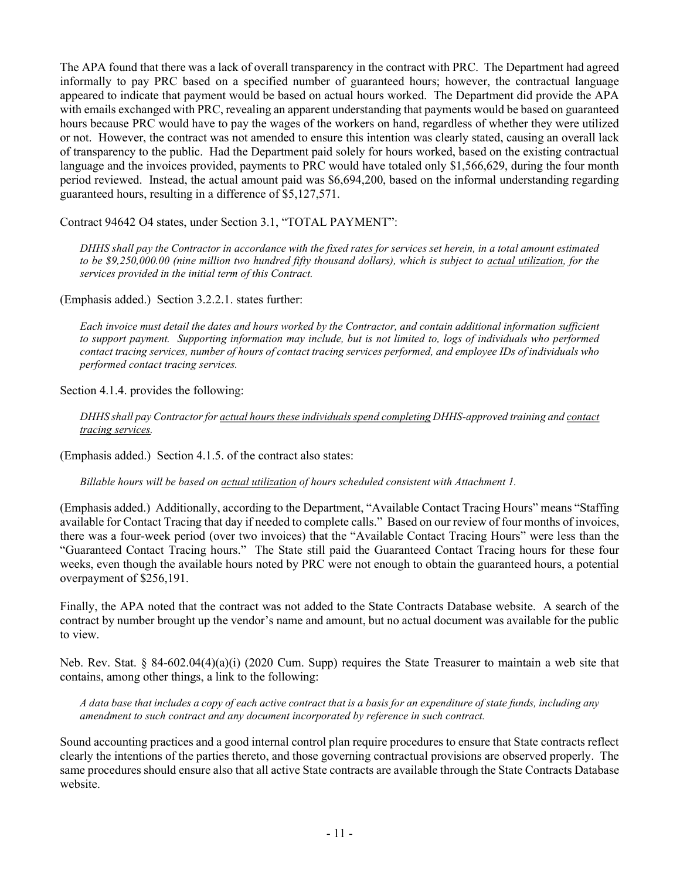The APA found that there was a lack of overall transparency in the contract with PRC. The Department had agreed informally to pay PRC based on a specified number of guaranteed hours; however, the contractual language appeared to indicate that payment would be based on actual hours worked. The Department did provide the APA with emails exchanged with PRC, revealing an apparent understanding that payments would be based on guaranteed hours because PRC would have to pay the wages of the workers on hand, regardless of whether they were utilized or not. However, the contract was not amended to ensure this intention was clearly stated, causing an overall lack of transparency to the public. Had the Department paid solely for hours worked, based on the existing contractual language and the invoices provided, payments to PRC would have totaled only \$1,566,629, during the four month period reviewed. Instead, the actual amount paid was \$6,694,200, based on the informal understanding regarding guaranteed hours, resulting in a difference of \$5,127,571.

Contract 94642 O4 states, under Section 3.1, "TOTAL PAYMENT":

DHHS shall pay the Contractor in accordance with the fixed rates for services set herein, in a total amount estimated to be \$9,250,000.00 (nine million two hundred fifty thousand dollars), which is subject to actual utilization, for the services provided in the initial term of this Contract.

(Emphasis added.) Section 3.2.2.1. states further:

Each invoice must detail the dates and hours worked by the Contractor, and contain additional information sufficient to support payment. Supporting information may include, but is not limited to, logs of individuals who performed contact tracing services, number of hours of contact tracing services performed, and employee IDs of individuals who performed contact tracing services.

Section 4.1.4. provides the following:

DHHS shall pay Contractor for actual hours these individuals spend completing DHHS-approved training and contact tracing services.

(Emphasis added.) Section 4.1.5. of the contract also states:

Billable hours will be based on actual utilization of hours scheduled consistent with Attachment 1.

(Emphasis added.) Additionally, according to the Department, "Available Contact Tracing Hours" means "Staffing available for Contact Tracing that day if needed to complete calls." Based on our review of four months of invoices, there was a four-week period (over two invoices) that the "Available Contact Tracing Hours" were less than the "Guaranteed Contact Tracing hours." The State still paid the Guaranteed Contact Tracing hours for these four weeks, even though the available hours noted by PRC were not enough to obtain the guaranteed hours, a potential overpayment of \$256,191.

Finally, the APA noted that the contract was not added to the State Contracts Database website. A search of the contract by number brought up the vendor's name and amount, but no actual document was available for the public to view.

Neb. Rev. Stat. § 84-602.04(4)(a)(i) (2020 Cum. Supp) requires the State Treasurer to maintain a web site that contains, among other things, a link to the following:

A data base that includes a copy of each active contract that is a basis for an expenditure of state funds, including any amendment to such contract and any document incorporated by reference in such contract.

Sound accounting practices and a good internal control plan require procedures to ensure that State contracts reflect clearly the intentions of the parties thereto, and those governing contractual provisions are observed properly. The same procedures should ensure also that all active State contracts are available through the State Contracts Database website.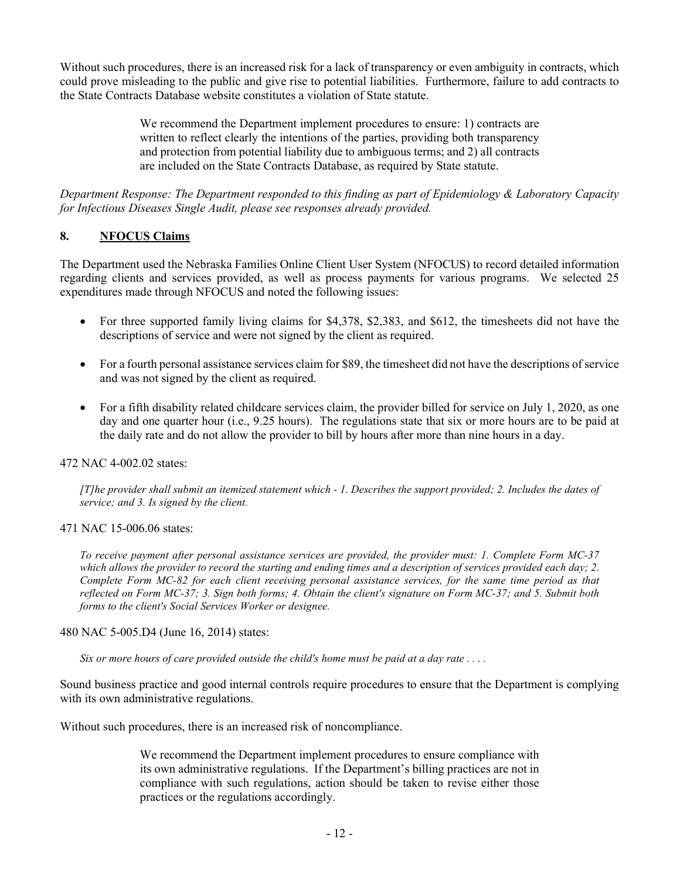Without such procedures, there is an increased risk for a lack of transparency or even ambiguity in contracts, which could prove misleading to the public and give rise to potential liabilities. Furthermore, failure to add contracts to the State Contracts Database website constitutes a violation of State statute.

> We recommend the Department implement procedures to ensure: 1) contracts are written to reflect clearly the intentions of the parties, providing both transparency and protection from potential liability due to ambiguous terms; and 2) all contracts are included on the State Contracts Database, as required by State statute.

Department Response: The Department responded to this finding as part of Epidemiology & Laboratory Capacity for Infectious Diseases Single Audit, please see responses already provided.

## 8. NFOCUS Claims

The Department used the Nebraska Families Online Client User System (NFOCUS) to record detailed information regarding clients and services provided, as well as process payments for various programs. We selected 25 expenditures made through NFOCUS and noted the following issues:

- For three supported family living claims for \$4,378, \$2,383, and \$612, the timesheets did not have the descriptions of service and were not signed by the client as required.
- For a fourth personal assistance services claim for \$89, the timesheet did not have the descriptions of service and was not signed by the client as required.
- For a fifth disability related childcare services claim, the provider billed for service on July 1, 2020, as one day and one quarter hour (i.e., 9.25 hours). The regulations state that six or more hours are to be paid at the daily rate and do not allow the provider to bill by hours after more than nine hours in a day.

#### 472 NAC 4-002.02 states:

[T]he provider shall submit an itemized statement which - 1. Describes the support provided; 2. Includes the dates of service; and 3. Is signed by the client.

#### 471 NAC 15-006.06 states:

To receive payment after personal assistance services are provided, the provider must: 1. Complete Form MC-37 which allows the provider to record the starting and ending times and a description of services provided each day; 2. Complete Form MC-82 for each client receiving personal assistance services, for the same time period as that reflected on Form MC-37; 3. Sign both forms; 4. Obtain the client's signature on Form MC-37; and 5. Submit both forms to the client's Social Services Worker or designee.

#### 480 NAC 5-005.D4 (June 16, 2014) states:

Six or more hours of care provided outside the child's home must be paid at a day rate  $\dots$ .

Sound business practice and good internal controls require procedures to ensure that the Department is complying with its own administrative regulations.

Without such procedures, there is an increased risk of noncompliance.

We recommend the Department implement procedures to ensure compliance with its own administrative regulations. If the Department's billing practices are not in compliance with such regulations, action should be taken to revise either those practices or the regulations accordingly.